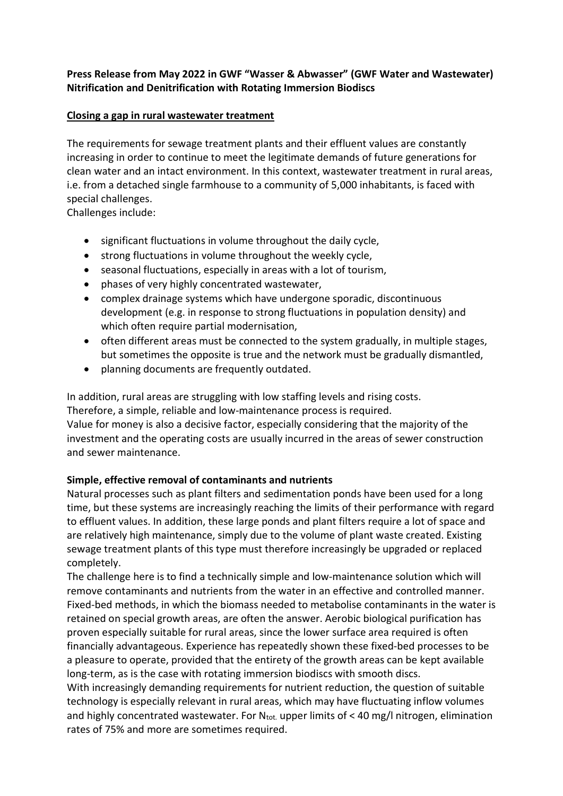# Press Release from May 2022 in GWF "Wasser & Abwasser" (GWF Water and Wastewater) Nitrification and Denitrification with Rotating Immersion Biodiscs

### Closing a gap in rural wastewater treatment

The requirements for sewage treatment plants and their effluent values are constantly increasing in order to continue to meet the legitimate demands of future generations for clean water and an intact environment. In this context, wastewater treatment in rural areas, i.e. from a detached single farmhouse to a community of 5,000 inhabitants, is faced with special challenges.

Challenges include:

- significant fluctuations in volume throughout the daily cycle,
- strong fluctuations in volume throughout the weekly cycle,
- seasonal fluctuations, especially in areas with a lot of tourism,
- phases of very highly concentrated wastewater,
- complex drainage systems which have undergone sporadic, discontinuous development (e.g. in response to strong fluctuations in population density) and which often require partial modernisation,
- often different areas must be connected to the system gradually, in multiple stages, but sometimes the opposite is true and the network must be gradually dismantled,
- planning documents are frequently outdated.

In addition, rural areas are struggling with low staffing levels and rising costs. Therefore, a simple, reliable and low-maintenance process is required. Value for money is also a decisive factor, especially considering that the majority of the investment and the operating costs are usually incurred in the areas of sewer construction and sewer maintenance.

# Simple, effective removal of contaminants and nutrients

Natural processes such as plant filters and sedimentation ponds have been used for a long time, but these systems are increasingly reaching the limits of their performance with regard to effluent values. In addition, these large ponds and plant filters require a lot of space and are relatively high maintenance, simply due to the volume of plant waste created. Existing sewage treatment plants of this type must therefore increasingly be upgraded or replaced completely.

The challenge here is to find a technically simple and low-maintenance solution which will remove contaminants and nutrients from the water in an effective and controlled manner. Fixed-bed methods, in which the biomass needed to metabolise contaminants in the water is retained on special growth areas, are often the answer. Aerobic biological purification has proven especially suitable for rural areas, since the lower surface area required is often financially advantageous. Experience has repeatedly shown these fixed-bed processes to be a pleasure to operate, provided that the entirety of the growth areas can be kept available long-term, as is the case with rotating immersion biodiscs with smooth discs.

With increasingly demanding requirements for nutrient reduction, the question of suitable technology is especially relevant in rural areas, which may have fluctuating inflow volumes and highly concentrated wastewater. For  $N_{\text{tot}}$  upper limits of < 40 mg/l nitrogen, elimination rates of 75% and more are sometimes required.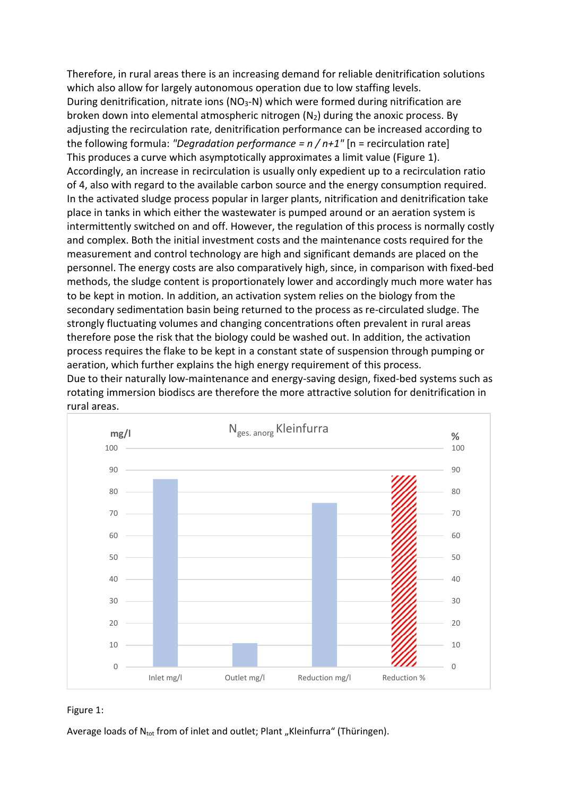Therefore, in rural areas there is an increasing demand for reliable denitrification solutions which also allow for largely autonomous operation due to low staffing levels. During denitrification, nitrate ions (NO<sub>3</sub>-N) which were formed during nitrification are broken down into elemental atmospheric nitrogen  $(N_2)$  during the anoxic process. By adjusting the recirculation rate, denitrification performance can be increased according to the following formula: "Degradation performance =  $n / n + 1$ " [n = recirculation rate] This produces a curve which asymptotically approximates a limit value (Figure 1). Accordingly, an increase in recirculation is usually only expedient up to a recirculation ratio of 4, also with regard to the available carbon source and the energy consumption required. In the activated sludge process popular in larger plants, nitrification and denitrification take place in tanks in which either the wastewater is pumped around or an aeration system is intermittently switched on and off. However, the regulation of this process is normally costly and complex. Both the initial investment costs and the maintenance costs required for the measurement and control technology are high and significant demands are placed on the personnel. The energy costs are also comparatively high, since, in comparison with fixed-bed methods, the sludge content is proportionately lower and accordingly much more water has to be kept in motion. In addition, an activation system relies on the biology from the secondary sedimentation basin being returned to the process as re-circulated sludge. The strongly fluctuating volumes and changing concentrations often prevalent in rural areas therefore pose the risk that the biology could be washed out. In addition, the activation process requires the flake to be kept in a constant state of suspension through pumping or aeration, which further explains the high energy requirement of this process.

Due to their naturally low-maintenance and energy-saving design, fixed-bed systems such as rotating immersion biodiscs are therefore the more attractive solution for denitrification in rural areas.





Average loads of  $N_{\text{tot}}$  from of inlet and outlet; Plant "Kleinfurra" (Thüringen).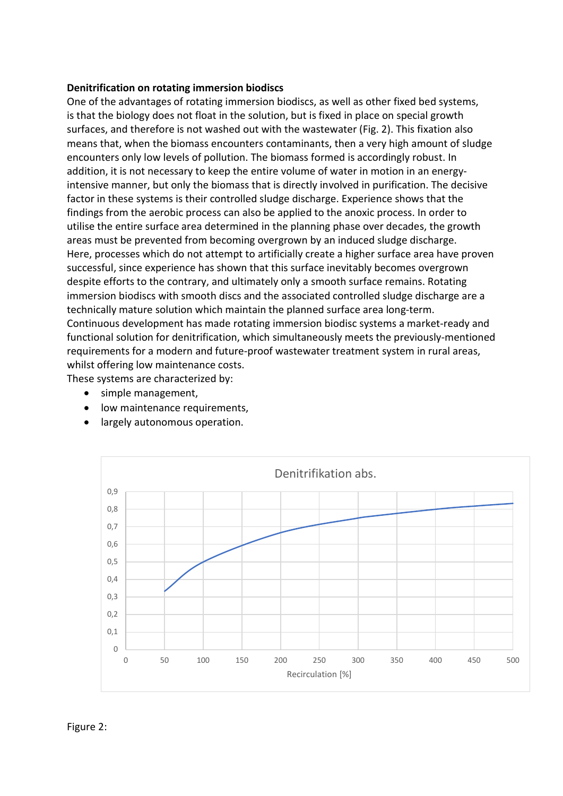### Denitrification on rotating immersion biodiscs

One of the advantages of rotating immersion biodiscs, as well as other fixed bed systems, is that the biology does not float in the solution, but is fixed in place on special growth surfaces, and therefore is not washed out with the wastewater (Fig. 2). This fixation also means that, when the biomass encounters contaminants, then a very high amount of sludge encounters only low levels of pollution. The biomass formed is accordingly robust. In addition, it is not necessary to keep the entire volume of water in motion in an energyintensive manner, but only the biomass that is directly involved in purification. The decisive factor in these systems is their controlled sludge discharge. Experience shows that the findings from the aerobic process can also be applied to the anoxic process. In order to utilise the entire surface area determined in the planning phase over decades, the growth areas must be prevented from becoming overgrown by an induced sludge discharge. Here, processes which do not attempt to artificially create a higher surface area have proven successful, since experience has shown that this surface inevitably becomes overgrown despite efforts to the contrary, and ultimately only a smooth surface remains. Rotating immersion biodiscs with smooth discs and the associated controlled sludge discharge are a technically mature solution which maintain the planned surface area long-term. Continuous development has made rotating immersion biodisc systems a market-ready and functional solution for denitrification, which simultaneously meets the previously-mentioned requirements for a modern and future-proof wastewater treatment system in rural areas, whilst offering low maintenance costs.

These systems are characterized by:

- simple management,
- **.** low maintenance requirements,
- largely autonomous operation.

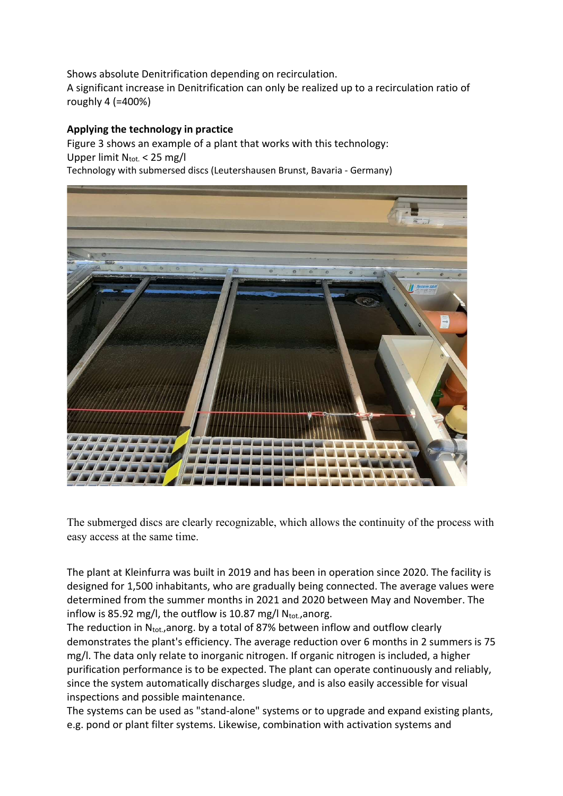Shows absolute Denitrification depending on recirculation. A significant increase in Denitrification can only be realized up to a recirculation ratio of roughly 4 (=400%)

# Applying the technology in practice

Figure 3 shows an example of a plant that works with this technology: Upper limit  $N_{\text{tot.}} < 25$  mg/l Technology with submersed discs (Leutershausen Brunst, Bavaria - Germany)



The submerged discs are clearly recognizable, which allows the continuity of the process with easy access at the same time.

The plant at Kleinfurra was built in 2019 and has been in operation since 2020. The facility is designed for 1,500 inhabitants, who are gradually being connected. The average values were determined from the summer months in 2021 and 2020 between May and November. The inflow is 85.92 mg/l, the outflow is 10.87 mg/l  $N_{\text{tot}}$ , anorg.

The reduction in  $N_{tot}$ , anorg. by a total of 87% between inflow and outflow clearly demonstrates the plant's efficiency. The average reduction over 6 months in 2 summers is 75 mg/l. The data only relate to inorganic nitrogen. If organic nitrogen is included, a higher purification performance is to be expected. The plant can operate continuously and reliably, since the system automatically discharges sludge, and is also easily accessible for visual inspections and possible maintenance.

The systems can be used as "stand-alone" systems or to upgrade and expand existing plants, e.g. pond or plant filter systems. Likewise, combination with activation systems and